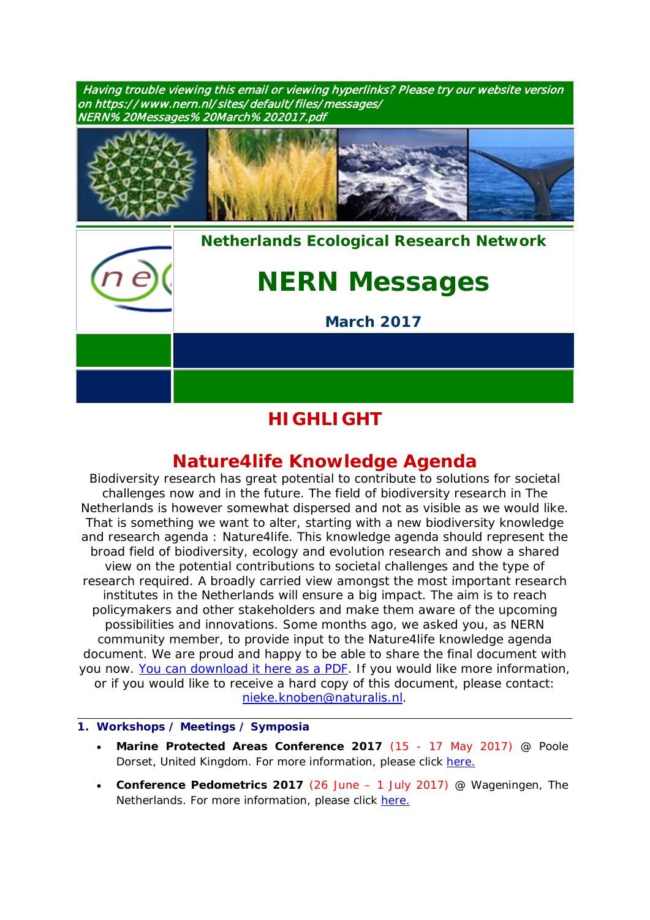Having trouble viewing this email or viewing hyperlinks? Please try our website version on https:/ / www.nern.nl/sites/default/files/messages/ NERN% 20Messages% 20March%202017.pdf



*[Nethe](http://www.nern.nl/)rlands Ecological Research Network*

# *NERN Messages*

*March 2017*

## **HIGHLIGHT**

## **Nature4***life* **Knowledge Agenda**

Biodiversity research has great potential to contribute to solutions for societal challenges now and in the future. The field of biodiversity research in The Netherlands is however somewhat dispersed and not as visible as we would like. That is something we want to alter, starting with a new biodiversity knowledge and research agenda : Nature4*life*. This knowledge agenda should represent the broad field of biodiversity, ecology and evolution research and show a shared view on the potential contributions to societal challenges and the type of research required. A broadly carried view amongst the most important research institutes in the Netherlands will ensure a big impact. The aim is to reach policymakers and other stakeholders and make them aware of the upcoming possibilities and innovations. Some months ago, we asked you, as NERN community member, to provide input to the Nature4*life* knowledge agenda document. We are proud and happy to be able to share the final document with you now. [You can download it here as a PDF.](http://www.repository.naturalis.nl/document/644738) If you would like more information, or if you would like to receive a hard copy of this document, please contact: [nieke.knoben@naturalis.nl.](mailto:nieke.knoben@naturalis.nl)

### **1. Workshops / Meetings / Symposia**

- **Marine Protected Areas Conference 2017** (15 17 May 2017) @ Poole Dorset, United Kingdom. For more information, please click [here.](http://www.pooleharbourstudygroup.org.uk/2017-conference/)
- **Conference Pedometrics 2017** (26 June 1 July 2017) @ Wageningen, The Netherlands. For more information, please click [here.](http://www.pedometrics2017.org/)